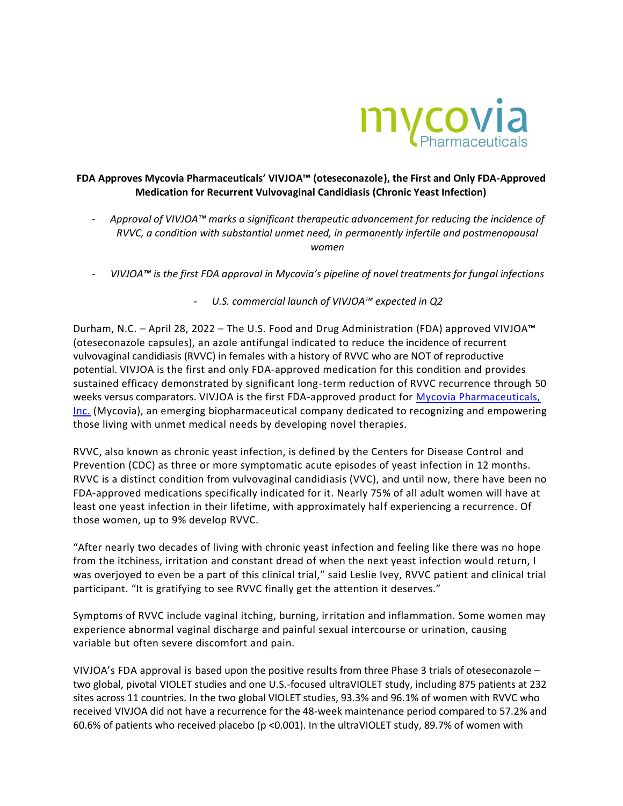

## **FDA Approves Mycovia Pharmaceuticals' VIVJOA™ (oteseconazole), the First and Only FDA-Approved Medication for Recurrent Vulvovaginal Candidiasis (Chronic Yeast Infection)**

- *- Approval of VIVJOA™ marks a significant therapeutic advancement for reducing the incidence of RVVC, a condition with substantial unmet need, in permanently infertile and postmenopausal women*
- *- VIVJOA™ is the first FDA approval in Mycovia's pipeline of novel treatments for fungal infections*
	- *- U.S. commercial launch of VIVJOA™ expected in Q2*

Durham, N.C. – April 28, 2022 – The U.S. Food and Drug Administration (FDA) approved VIVJOA™ (oteseconazole capsules), an azole antifungal indicated to reduce the incidence of recurrent vulvovaginal candidiasis (RVVC) in females with a history of RVVC who are NOT of reproductive potential. VIVJOA is the first and only FDA-approved medication for this condition and provides sustained efficacy demonstrated by significant long-term reduction of RVVC recurrence through 50 weeks versus comparators. VIVJOA is the first FDA-approved product for [Mycovia Pharmaceuticals,](https://www.mycovia.com/)  [Inc.](https://www.mycovia.com/) (Mycovia), an emerging biopharmaceutical company dedicated to recognizing and empowering those living with unmet medical needs by developing novel therapies.

RVVC, also known as chronic yeast infection, is defined by the Centers for Disease Control and Prevention (CDC) as three or more symptomatic acute episodes of yeast infection in 12 months. RVVC is a distinct condition from vulvovaginal candidiasis (VVC), and until now, there have been no FDA-approved medications specifically indicated for it. Nearly 75% of all adult women will have at least one yeast infection in their lifetime, with approximately half experiencing a recurrence. Of those women, up to 9% develop RVVC.

"After nearly two decades of living with chronic yeast infection and feeling like there was no hope from the itchiness, irritation and constant dread of when the next yeast infection would return, I was overjoyed to even be a part of this clinical trial," said Leslie Ivey, RVVC patient and clinical trial participant. "It is gratifying to see RVVC finally get the attention it deserves."

Symptoms of RVVC include vaginal itching, burning, irritation and inflammation. Some women may experience abnormal vaginal discharge and painful sexual intercourse or urination, causing variable but often severe discomfort and pain.

VIVJOA's FDA approval is based upon the positive results from three Phase 3 trials of oteseconazole – two global, pivotal VIOLET studies and one U.S.-focused ultraVIOLET study, including 875 patients at 232 sites across 11 countries. In the two global VIOLET studies, 93.3% and 96.1% of women with RVVC who received VIVJOA did not have a recurrence for the 48-week maintenance period compared to 57.2% and 60.6% of patients who received placebo (p <0.001). In the ultraVIOLET study, 89.7% of women with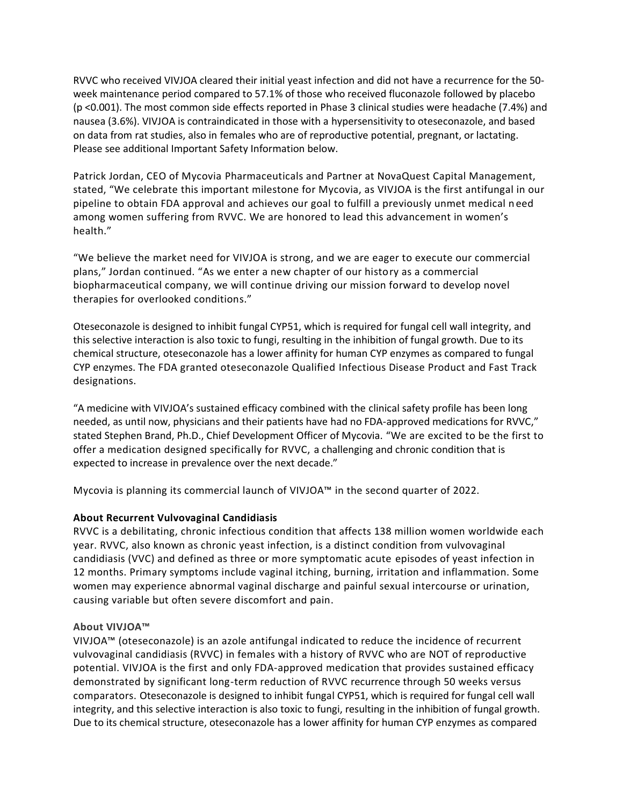RVVC who received VIVJOA cleared their initial yeast infection and did not have a recurrence for the 50 week maintenance period compared to 57.1% of those who received fluconazole followed by placebo (p <0.001). The most common side effects reported in Phase 3 clinical studies were headache (7.4%) and nausea (3.6%). VIVJOA is contraindicated in those with a hypersensitivity to oteseconazole, and based on data from rat studies, also in females who are of reproductive potential, pregnant, or lactating. Please see additional Important Safety Information below.

Patrick Jordan, CEO of Mycovia Pharmaceuticals and Partner at NovaQuest Capital Management, stated, "We celebrate this important milestone for Mycovia, as VIVJOA is the first antifungal in our pipeline to obtain FDA approval and achieves our goal to fulfill a previously unmet medical n eed among women suffering from RVVC. We are honored to lead this advancement in women's health."

"We believe the market need for VIVJOA is strong, and we are eager to execute our commercial plans," Jordan continued. "As we enter a new chapter of our history as a commercial biopharmaceutical company, we will continue driving our mission forward to develop novel therapies for overlooked conditions."

Oteseconazole is designed to inhibit fungal CYP51, which is required for fungal cell wall integrity, and this selective interaction is also toxic to fungi, resulting in the inhibition of fungal growth. Due to its chemical structure, oteseconazole has a lower affinity for human CYP enzymes as compared to fungal CYP enzymes. The FDA granted oteseconazole Qualified Infectious Disease Product and Fast Track designations.

"A medicine with VIVJOA's sustained efficacy combined with the clinical safety profile has been long needed, as until now, physicians and their patients have had no FDA-approved medications for RVVC," stated Stephen Brand, Ph.D., Chief Development Officer of Mycovia. "We are excited to be the first to offer a medication designed specifically for RVVC, a challenging and chronic condition that is expected to increase in prevalence over the next decade."

Mycovia is planning its commercial launch of VIVJOA™ in the second quarter of 2022.

# **About Recurrent Vulvovaginal Candidiasis**

RVVC is a debilitating, chronic infectious condition that affects 138 million women worldwide each year. RVVC, also known as chronic yeast infection, is a distinct condition from vulvovaginal candidiasis (VVC) and defined as three or more symptomatic acute episodes of yeast infection in 12 months. Primary symptoms include vaginal itching, burning, irritation and inflammation. Some women may experience abnormal vaginal discharge and painful sexual intercourse or urination, causing variable but often severe discomfort and pain.

### **About VIVJOA™**

VIVJOA™ (oteseconazole) is an azole antifungal indicated to reduce the incidence of recurrent vulvovaginal candidiasis (RVVC) in females with a history of RVVC who are NOT of reproductive potential. VIVJOA is the first and only FDA-approved medication that provides sustained efficacy demonstrated by significant long-term reduction of RVVC recurrence through 50 weeks versus comparators. Oteseconazole is designed to inhibit fungal CYP51, which is required for fungal cell wall integrity, and this selective interaction is also toxic to fungi, resulting in the inhibition of fungal growth. Due to its chemical structure, oteseconazole has a lower affinity for human CYP enzymes as compared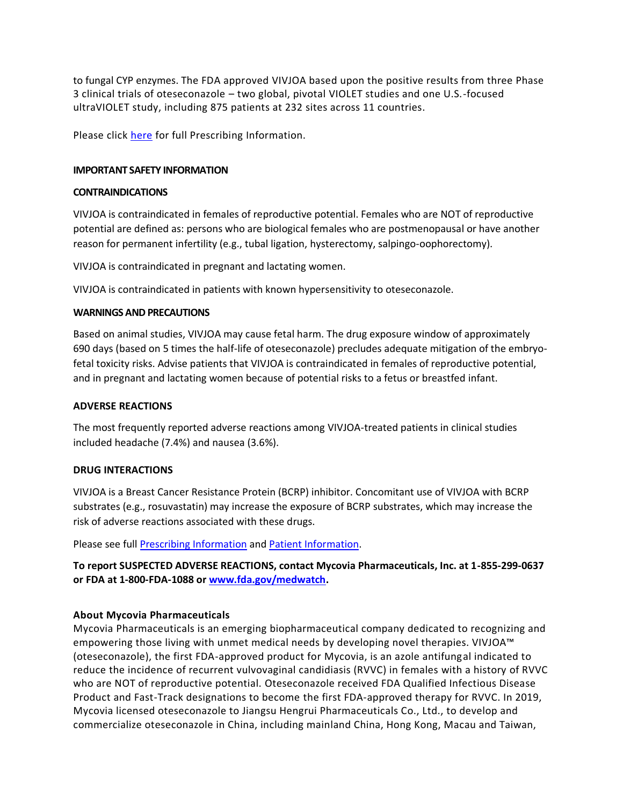to fungal CYP enzymes. The FDA approved VIVJOA based upon the positive results from three Phase 3 clinical trials of oteseconazole – two global, pivotal VIOLET studies and one U.S.-focused ultraVIOLET study, including 875 patients at 232 sites across 11 countries.

Please click [here](http://mycovia.com/PI) for full Prescribing Information.

### **IMPORTANT SAFETY INFORMATION**

### **CONTRAINDICATIONS**

VIVJOA is contraindicated in females of reproductive potential. Females who are NOT of reproductive potential are defined as: persons who are biological females who are postmenopausal or have another reason for permanent infertility (e.g., tubal ligation, hysterectomy, salpingo-oophorectomy).

VIVJOA is contraindicated in pregnant and lactating women.

VIVJOA is contraindicated in patients with known hypersensitivity to oteseconazole.

### **WARNINGS AND PRECAUTIONS**

Based on animal studies, VIVJOA may cause fetal harm. The drug exposure window of approximately 690 days (based on 5 times the half-life of oteseconazole) precludes adequate mitigation of the embryofetal toxicity risks. Advise patients that VIVJOA is contraindicated in females of reproductive potential, and in pregnant and lactating women because of potential risks to a fetus or breastfed infant.

### **ADVERSE REACTIONS**

The most frequently reported adverse reactions among VIVJOA-treated patients in clinical studies included headache (7.4%) and nausea (3.6%).

### **DRUG INTERACTIONS**

VIVJOA is a Breast Cancer Resistance Protein (BCRP) inhibitor. Concomitant use of VIVJOA with BCRP substrates (e.g., rosuvastatin) may increase the exposure of BCRP substrates, which may increase the risk of adverse reactions associated with these drugs.

Please see ful[l Prescribing Information](http://mycovia.com/PI) and [Patient Information.](http://mycovia.com/PPI)

**To report SUSPECTED ADVERSE REACTIONS, contact Mycovia Pharmaceuticals, Inc. at 1-855-299-0637 or FDA at 1-800-FDA-1088 or [www.fda.gov/medwatch.](http://www.fda.gov/medwatch)** 

# **About Mycovia Pharmaceuticals**

Mycovia Pharmaceuticals is an emerging biopharmaceutical company dedicated to recognizing and empowering those living with unmet medical needs by developing novel therapies. VIVJOA™ (oteseconazole), the first FDA-approved product for Mycovia, is an azole antifungal indicated to reduce the incidence of recurrent vulvovaginal candidiasis (RVVC) in females with a history of RVVC who are NOT of reproductive potential. Oteseconazole received FDA Qualified Infectious Disease Product and Fast-Track designations to become the first FDA-approved therapy for RVVC. In 2019, Mycovia licensed oteseconazole to Jiangsu Hengrui Pharmaceuticals Co., Ltd., to develop and commercialize oteseconazole in China, including mainland China, Hong Kong, Macau and Taiwan,